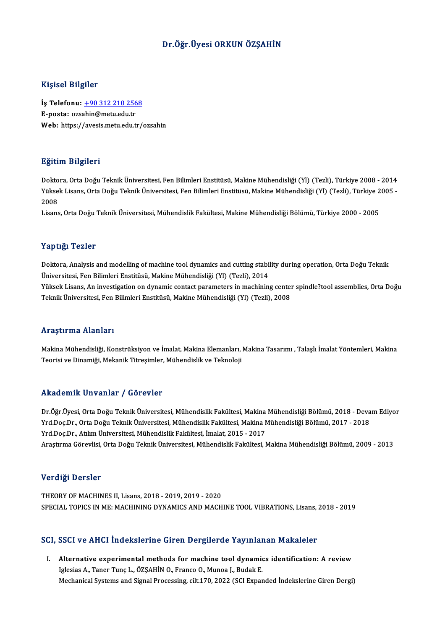### Dr.Öğr.Üyesi ORKUN ÖZŞAHİN

### Kişisel Bilgiler

Kişisel Bilgiler<br>İş Telefonu: <u>+90 312 210 2568</u><br>E nosta: ersabin@met: edu.tr 11191001 Duguot<br>İş Telefonu: <u>+90 312 210 256</u><br>E-posta: ozs[ahin@metu.edu.tr](tel:+90 312 210 2568) E-posta: ozsahin@metu.edu.tr<br>Web: https://avesis.metu.edu.tr/ozsahin

### Eğitim Bilgileri

Doktora, Orta Doğu Teknik Üniversitesi, Fen Bilimleri Enstitüsü, Makine Mühendisliği (Yl) (Tezli), Türkiye 2008 - 2014 SSRAM DAŞASA<br>Doktora, Orta Doğu Teknik Üniversitesi, Fen Bilimleri Enstitüsü, Makine Mühendisliği (Yl) (Tezli), Türkiye 2008 - 2014<br>Yüksek Lisans, Orta Doğu Teknik Üniversitesi, Fen Bilimleri Enstitüsü, Makine Mühendisliği Dokto<br>Yükse<br>2008<br>Lisare Yüksek Lisans, Orta Doğu Teknik Üniversitesi, Fen Bilimleri Enstitüsü, Makine Mühendisliği (Yl) (Tezli), Türkiye 2<br>2008<br>Lisans, Orta Doğu Teknik Üniversitesi, Mühendislik Fakültesi, Makine Mühendisliği Bölümü, Türkiye 2000

Lisans, Orta Doğu Teknik Üniversitesi, Mühendislik Fakültesi, Makine Mühendisliği Bölümü, Türkiye 2000 - 2005<br>Yaptığı Tezler

Yaptığı Tezler<br>Doktora, Analysis and modelling of machine tool dynamics and cutting stability during operation, Orta Doğu Teknik<br>Ühiversitesi Een Bilimleri Enstitüsü, Makine Mühendieliği (VI) (Terli), 2014 1 up 13,1 1 02111<br>Doktora, Analysis and modelling of machine tool dynamics and cutting stabil<br>Üniversitesi, Fen Bilimleri Enstitüsü, Makine Mühendisliği (Yl) (Tezli), 2014<br>Vültael: Lisane, An investitation on dynamis santa Doktora, Analysis and modelling of machine tool dynamics and cutting stability during operation, Orta Doğu Teknik<br>Üniversitesi, Fen Bilimleri Enstitüsü, Makine Mühendisliği (Yl) (Tezli), 2014<br>Yüksek Lisans, An investigatio Üniversitesi, Fen Bilimleri Enstitüsü, Makine Mühendisliği (Yl) (Tezli), 2014<br>Yüksek Lisans, An investigation on dynamic contact parameters in machining center spindle?tool assemblies, Orta Doğu<br>Teknik Üniversitesi, Fen Bi

#### Araştırma Alanları

Araştırma Alanları<br>Makina Mühendisliği, Konstrüksiyon ve İmalat, Makina Elemanları, Makina Tasarımı , Talaşlı İmalat Yöntemleri, Makina<br>Tearisi ve Dinamiği, Makanik Titresimler, Mühendislik ve Teknaleji Tri ayeri ma Triamarı<br>Makina Mühendisliği, Konstrüksiyon ve İmalat, Makina Elemanları,<br>Teorisi ve Dinamiği, Mekanik Titreşimler, Mühendislik ve Teknoloji Teorisi ve Dinamiği, Mekanik Titreşimler, Mühendislik ve Teknoloji<br>Akademik Unvanlar / Görevler

Akademik Unvanlar / Görevler<br>Dr.Öğr.Üyesi, Orta Doğu Teknik Üniversitesi, Mühendislik Fakültesi, Makina Mühendisliği Bölümü, 2018 - Devam Ediyor<br>Yrd Doo Dr. *Orta Doğu Tek*nik Üniversitesi, Mühendislik Fakültesi, Makina Mü Yrkuu olirik "Oli vulirdi" y" dör ovter<br>Dr.Öğr.Üyesi, Orta Doğu Teknik Üniversitesi, Mühendislik Fakültesi, Makina Mühendisliği Bölümü, 2018 - Deva<br>Yrd.Doç.Dr., Atılım Üniversitesi, Mühendislik Fakültesi, İmalat, 3015 - 20 Dr.Öğr.Üyesi, Orta Doğu Teknik Üniversitesi, Mühendislik Fakültesi, Makina<br>Yrd.Doç.Dr., Orta Doğu Teknik Üniversitesi, Mühendislik Fakültesi, Makina M<br>Yrd.Doç.Dr., Atılım Üniversitesi, Mühendislik Fakültesi, İmalat, 2015 -Yrd.Doç.Dr., Orta Doğu Teknik Üniversitesi, Mühendislik Fakültesi, Makina Mühendisliği Bölümü, 2017 - 2018<br>Yrd.Doç.Dr., Atılım Üniversitesi, Mühendislik Fakültesi, İmalat, 2015 - 2017<br>Araştırma Görevlisi, Orta Doğu Teknik

### Verdiği Dersler

THEORY OF MACHINES II, Lisans, 2018 - 2019, 2019 - 2020 SPECIAL TOPICS IN ME: MACHINING DYNAMICS AND MACHINE TOOL VIBRATIONS, Lisans, 2018 - 2019

### SCI, SSCI ve AHCI İndekslerine Giren Dergilerde Yayınlanan Makaleler

CI, SSCI ve AHCI İndekslerine Giren Dergilerde Yayınlanan Makaleler<br>I. Alternative experimental methods for machine tool dynamics identification: A review<br>Irlesias A Tanor Tune L. ÖZSAHİN O Franse O Munea L. Budak E Iglesias A., Taner Tunç L., ÖZŞAHİN O., Franco O., Munoa J., Budak E.<br>Iglesias A., Taner Tunç L., ÖZŞAHİN O., Franco O., Munoa J., Budak E.<br>Mechanizal Systems and Signal Pracessing, silt 170, 2022 (SCL Eunar Alternative experimental methods for machine tool dynamics identification: A review<br>Iglesias A., Taner Tunç L., ÖZŞAHİN O., Franco O., Munoa J., Budak E.<br>Mechanical Systems and Signal Processing, cilt.170, 2022 (SCI Expand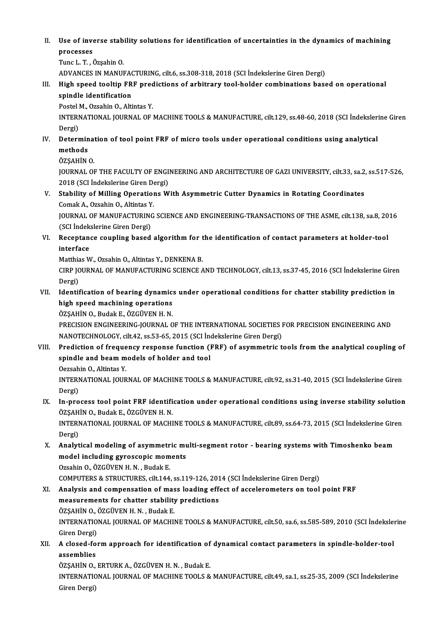II. Use of inverse stability solutions for identification of uncertainties in the dynamics of machining<br>nnocesses Use of invertional<br>processes<br>Tune L. T. d processes<br>Tunc L. T. , Özşahin O.<br>ADVANCES IN MANUFACTURING, cilt.6, ss.308-318, 2018 (SCI İndekslerine Giren Dergi)<br>High apeed tealtin EBE predistione of aphitrary teal haldar sambinatione başs

processes<br>Tunc L.T. , Özşahin O.

Tunc L. T. , Özşahin O.<br>ADVANCES IN MANUFACTURING, cilt.6, ss.308-318, 2018 (SCI İndekslerine Giren Dergi)<br>III. High speed tooltip FRF predictions of arbitrary tool-holder combinations based on operational<br>Spindle iden ADVANCES IN MANUFAC<br>High speed tooltip FR<br>spindle identification<br>Postel M. Ozsabin O. Alti High speed tooltip FRF pred<br>spindle identification<br>Postel M., Ozsahin O., Altintas Y.<br>INTERNATIONAL JOURNAL OF I spindle identification<br>Postel M., Ozsahin O., Altintas Y.<br>INTERNATIONAL JOURNAL OF MACHINE TOOLS & MANUFACTURE, cilt.129, ss.48-60, 2018 (SCI İndekslerine Giren

Dergi) INTERNATIONAL JOURNAL OF MACHINE TOOLS & MANUFACTURE, cilt.129, ss.48-60, 2018 (SCI indeksler.<br>Dergi)<br>IV. Determination of tool point FRF of micro tools under operational conditions using analytical<br>mathods

- Dergi)<br><mark>Determin</mark><br>methods<br>özsauin De<mark>termina</mark><br>methods<br>ÖZŞAHİN O.<br>JOUPNAL OL
	-

methods<br>ÖZŞAHİN O.<br>JOURNAL OF THE FACULTY OF ENGINEERING AND ARCHITECTURE OF GAZI UNIVERSITY, cilt.33, sa.2, ss.517-526, ÖZŞAHİN O.<br>JOURNAL OF THE FACULTY OF ENGI<br>2018 (SCI İndekslerine Giren Dergi)<br>Stability of Milling Operations W

V. Stability of Milling Operations With Asymmetric Cutter Dynamics in Rotating Coordinates<br>Comak A., Ozsahin O., Altintas Y. 2018 (SCI İndekslerine Giren De<br>Stability of Milling Operation<br>Comak A., Ozsahin O., Altintas Y.<br>JOUPNAL OF MANUEACTUBING Stability of Milling Operations With Asymmetric Cutter Dynamics in Rotating Coordinates<br>Comak A., Ozsahin O., Altintas Y.<br>JOURNAL OF MANUFACTURING SCIENCE AND ENGINEERING-TRANSACTIONS OF THE ASME, cilt.138, sa.8, 2016<br>(SCI

Comak A., Ozsahin O., Altintas Y<br>JOURNAL OF MANUFACTURIN<br>(SCI İndekslerine Giren Dergi)<br>Recentance sevuling based JOURNAL OF MANUFACTURING SCIENCE AND ENGINEERING-TRANSACTIONS OF THE ASME, cilt.138, sa.8, 20<br>(SCI Indekslerine Giren Dergi)<br>VI. Receptance coupling based algorithm for the identification of contact parameters at holder-to

(SCI İndek<br>Receptan<br>interface<br>Matthias M Receptance coupling based algorithm for t<br>interface<br>Matthias W., Ozsahin O., Altintas Y., DENKENA B.<br>CIPP JOUPNAL OF MANUEACTUPINC SCIENCE A

Matthias W., Ozsahin O., Altintas Y., DENKENA B.

interface<br>Matthias W., Ozsahin O., Altintas Y., DENKENA B.<br>CIRP JOURNAL OF MANUFACTURING SCIENCE AND TECHNOLOGY, cilt.13, ss.37-45, 2016 (SCI İndekslerine Giren<br>Dergi) CIRP JOURNAL OF MANUFACTURING SCIENCE AND TECHNOLOGY, cilt.13, ss.37-45, 2016 (SCI İndekslerine Giren Dergi)<br>Dergi)<br>VII. Identification of bearing dynamics under operational conditions for chatter stability prediction in<br>h

## Dergi)<br>Identification of bearing dynamic:<br>high speed machining operations<br>ÖZSAHIN O. Budek E. ÖZCÜVEN H. N high speed machining operations<br>ÖZŞAHİN O., Budak E., ÖZGÜVEN H. N.

PRECISION ENGINEERING-JOURNAL OF THE INTERNATIONAL SOCIETIES FOR PRECISION ENGINEERING AND NANOTECHNOLOGY, cilt.42, ss.53-65,2015 (SCI İndekslerineGirenDergi) PRECISION ENGINEERING-JOURNAL OF THE INTERNATIONAL SOCIETIES FOR PRECISION ENGINEERING AND<br>NANOTECHNOLOGY, cilt.42, ss.53-65, 2015 (SCI indekslerine Giren Dergi)<br>VIII. Prediction of frequency response function (FRF) of asy

# NANOTECHNOLOGY, cilt.42, ss.53-65, 2015 (SCI Inc<br>Prediction of frequency response function (I<br>spindle and beam models of holder and tool<br>Oggebin O. Alintes V Prediction of freque<br>spindle and beam m<br>Oezsahin O., Altintas Y.<br>INTERNATIONAL JOUP

spindle and beam models of holder and tool<br>Oezsahin O., Altintas Y.<br>INTERNATIONAL JOURNAL OF MACHINE TOOLS & MANUFACTURE, cilt.92, ss.31-40, 2015 (SCI İndekslerine Giren<br>Persi) Oezsah<br>INTERI<br>Dergi)<br>In nuo INTERNATIONAL JOURNAL OF MACHINE TOOLS & MANUFACTURE, cilt.92, ss.31-40, 2015 (SCI Indekslerine Giren<br>Dergi)<br>IX. In-process tool point FRF identification under operational conditions using inverse stability solution<br>ÖZSAHI

# Dergi)<br>In-process tool point FRF identifi<br>ÖZŞAHİN O., Budak E., ÖZGÜVEN H. N.<br>INTERNATIONAL JOUPNAL OE MACHI IX. In-process tool point FRF identification under operational conditions using inverse stability solution<br>ÖZŞAHİN O., Budak E., ÖZGÜVEN H. N.<br>INTERNATIONAL JOURNAL OF MACHINE TOOLS & MANUFACTURE, cilt.89, ss.64-73, 2015 (

ÖZŞAH<br>INTERI<br>Dergi)<br>Analıt INTERNATIONAL JOURNAL OF MACHINE TOOLS & MANUFACTURE, cilt.89, ss.64-73, 2015 (SCI İndekslerine Gire<br>Dergi)<br>X. Analytical modeling of asymmetric multi-segment rotor - bearing systems with Timoshenko beam<br>model including gy

## Dergi)<br>Analytical modeling of asymmetric mu<br>model including gyroscopic moments<br>Ozsabin Q ÖZCÜVEN H N - Pudak E Analytical modeling of asymmetr<br>model including gyroscopic mom<br>Ozsahin O., ÖZGÜVEN H. N. , Budak E.<br>COMBUTERS & STRUCTURES sit 144 model including gyroscopic moments<br>Ozsahin O., ÖZGÜVEN H. N. , Budak E.<br>COMPUTERS & STRUCTURES, cilt.144, ss.119-126, 2014 (SCI İndekslerine Giren Dergi)<br>Analysis and sempensation of mass loading effect of asselerematers o

### Ozsahin O., ÖZGÜVEN H. N. , Budak E.<br>COMPUTERS & STRUCTURES, cilt.144, ss.119-126, 2014 (SCI İndekslerine Giren Dergi)<br>XI. Analysis and compensation of mass loading effect of accelerometers on tool point FRF<br>measurements f COMPUTERS & STRUCTURES, cilt.144, ss.119-126, 201<br>Analysis and compensation of mass loading eff<br>measurements for chatter stability predictions<br>ÖZSAHIN O. ÖZCÜVENH N. Budak E Analysis and compensation of mas<br>measurements for chatter stability<br>ÖZŞAHİN O., ÖZGÜVEN H. N. , Budak E.<br>INTERNATIONAL JOURNAL OE MACHU measurements for chatter stability predictions<br>ÖZŞAHİN O., ÖZGÜVEN H. N. , Budak E.<br>INTERNATIONAL JOURNAL OF MACHINE TOOLS & MANUFACTURE, cilt.50, sa.6, ss.585-589, 2010 (SCI İndekslerine<br>Giren Dergi) ÖZSAHİN O. ÖZGÜVEN H. N., Budak E. INTERNATIONAL JOURNAL OF MACHINE TOOLS & MANUFACTURE, cilt.50, sa.6, ss.585-589, 2010 (SCI İndekslei<br>Giren Dergi)<br>XII. A closed-form approach for identification of dynamical contact parameters in spindle-holder-tool<br>200

# **Giren Dergi)<br>A closed-fo<br>assemblies<br>ÖZSAHİN O** A closed-form approach for identification of<br>assemblies<br>ÖZŞAHİN O., ERTURK A., ÖZGÜVEN H. N. , Budak E.<br>INTERNATIONAL JOUPNAL OE MACHINE TOOLS &

ÖZŞAHİN O., ERTURK A., ÖZGÜVEN H. N., Budak E.

assemblies<br>ÖZŞAHİN O., ERTURK A., ÖZGÜVEN H. N. , Budak E.<br>INTERNATIONAL JOURNAL OF MACHINE TOOLS & MANUFACTURE, cilt.49, sa.1, ss.25-35, 2009 (SCI İndekslerine<br>Giren Dergi)